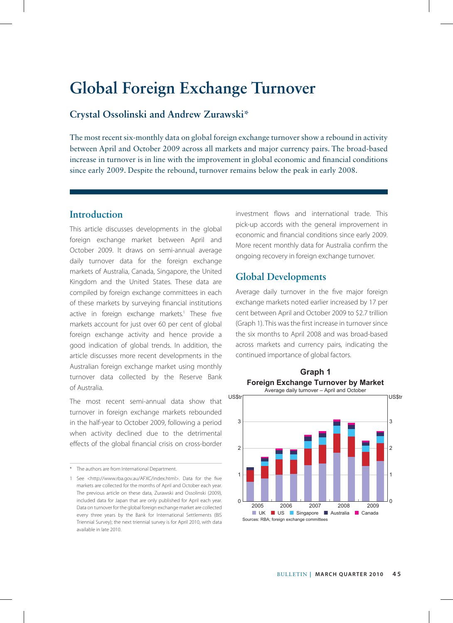# **Global Foreign Exchange Turnover**

# **Crystal Ossolinski and Andrew Zurawski\***

The most recent six-monthly data on global foreign exchange turnover show a rebound in activity between April and October 2009 across all markets and major currency pairs. The broad-based increase in turnover is in line with the improvement in global economic and financial conditions since early 2009. Despite the rebound, turnover remains below the peak in early 2008.

## **Introduction**

This article discusses developments in the global foreign exchange market between April and October 2009. It draws on semi-annual average daily turnover data for the foreign exchange markets of Australia, Canada, Singapore, the United Kingdom and the United States. These data are compiled by foreign exchange committees in each of these markets by surveying financial institutions active in foreign exchange markets.<sup>1</sup> These five markets account for just over 60 per cent of global foreign exchange activity and hence provide a good indication of global trends. In addition, the article discusses more recent developments in the Australian foreign exchange market using monthly turnover data collected by the Reserve Bank of Australia.

The most recent semi-annual data show that turnover in foreign exchange markets rebounded in the half-year to October 2009, following a period when activity declined due to the detrimental effects of the global financial crisis on cross-border

investment flows and international trade. This pick-up accords with the general improvement in economic and financial conditions since early 2009. More recent monthly data for Australia confirm the ongoing recovery in foreign exchange turnover.

# **Global Developments**

Average daily turnover in the five major foreign exchange markets noted earlier increased by 17 per cent between April and October 2009 to \$2.7 trillion (Graph 1). This was the first increase in turnover since the six months to April 2008 and was broad-based across markets and currency pairs, indicating the continued importance of global factors.



<sup>\*</sup> The authors are from International Department.

<sup>1</sup> See <http://www.rba.gov.au/AFXC/index.html>. Data for the five markets are collected for the months of April and October each year. The previous article on these data, Zurawski and Ossolinski (2009), included data for Japan that are only published for April each year. Data on turnover for the global foreign exchange market are collected every three years by the Bank for International Settlements (BIS Triennial Survey); the next triennial survey is for April 2010, with data available in late 2010.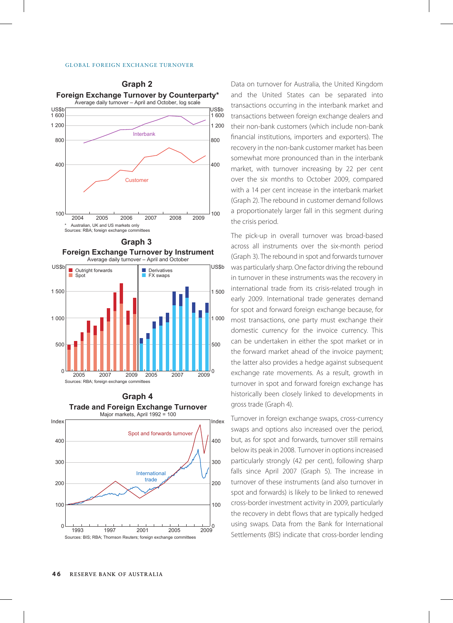#### Global Foreign Exchange turnover



Sources: RBA; foreign exchange committees **Graph 3 Foreign Exchange Turnover by Instrument** Average daily turnover – April and October ■ Derivatives US\$b US\$b ■ Outright forwards



### **Graph 4 Trade and Foreign Exchange Turnover**



Data on turnover for Australia, the United Kingdom and the United States can be separated into transactions occurring in the interbank market and transactions between foreign exchange dealers and their non-bank customers (which include non-bank financial institutions, importers and exporters). The recovery in the non-bank customer market has been somewhat more pronounced than in the interbank market, with turnover increasing by 22 per cent over the six months to October 2009, compared with a 14 per cent increase in the interbank market (Graph 2). The rebound in customer demand follows a proportionately larger fall in this segment during the crisis period.

The pick-up in overall turnover was broad-based across all instruments over the six-month period (Graph 3). The rebound in spot and forwards turnover was particularly sharp. One factor driving the rebound in turnover in these instruments was the recovery in international trade from its crisis-related trough in early 2009. International trade generates demand for spot and forward foreign exchange because, for most transactions, one party must exchange their domestic currency for the invoice currency. This can be undertaken in either the spot market or in the forward market ahead of the invoice payment; the latter also provides a hedge against subsequent exchange rate movements. As a result, growth in turnover in spot and forward foreign exchange has historically been closely linked to developments in gross trade (Graph 4).

Turnover in foreign exchange swaps, cross-currency swaps and options also increased over the period, but, as for spot and forwards, turnover still remains below its peak in 2008. Turnover in options increased particularly strongly (42 per cent), following sharp falls since April 2007 (Graph 5). The increase in turnover of these instruments (and also turnover in spot and forwards) is likely to be linked to renewed cross-border investment activity in 2009, particularly the recovery in debt flows that are typically hedged using swaps. Data from the Bank for International Settlements (BIS) indicate that cross-border lending

## **Graph 2**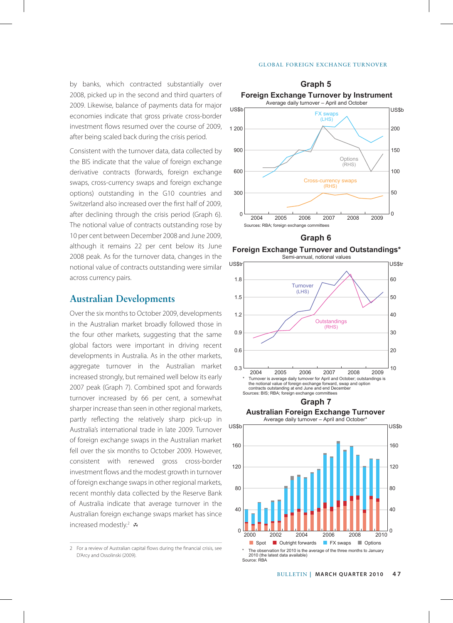#### Global Foreign Exchange turnover

by banks, which contracted substantially over 2008, picked up in the second and third quarters of 2009. Likewise, balance of payments data for major economies indicate that gross private cross-border investment flows resumed over the course of 2009, after being scaled back during the crisis period.

Consistent with the turnover data, data collected by the BIS indicate that the value of foreign exchange derivative contracts (forwards, foreign exchange swaps, cross-currency swaps and foreign exchange options) outstanding in the G10 countries and Switzerland also increased over the first half of 2009, after declining through the crisis period (Graph 6). The notional value of contracts outstanding rose by 10 per cent between December 2008 and June 2009, although it remains 22 per cent below its June 2008 peak. As for the turnover data, changes in the notional value of contracts outstanding were similar across currency pairs.

### **Australian Developments**

Over the six months to October 2009, developments in the Australian market broadly followed those in the four other markets, suggesting that the same global factors were important in driving recent developments in Australia. As in the other markets, aggregate turnover in the Australian market increased strongly, but remained well below its early 2007 peak (Graph 7). Combined spot and forwards turnover increased by 66 per cent, a somewhat sharper increase than seen in other regional markets, partly reflecting the relatively sharp pick-up in Australia's international trade in late 2009. Turnover of foreign exchange swaps in the Australian market fell over the six months to October 2009. However, consistent with renewed gross cross-border investment flows and the modest growth in turnover of foreign exchange swaps in other regional markets, recent monthly data collected by the Reserve Bank of Australia indicate that average turnover in the Australian foreign exchange swaps market has since increased modestly.<sup>2</sup> स



**Graph 6**

**Foreign Exchange Turnover and Outstandings\*** Semi-annual, notional values



**Australian Foreign Exchange Turnover**



<sup>2</sup> For a review of Australian capital flows during the financial crisis, see D'Arcy and Ossolinski (2009).